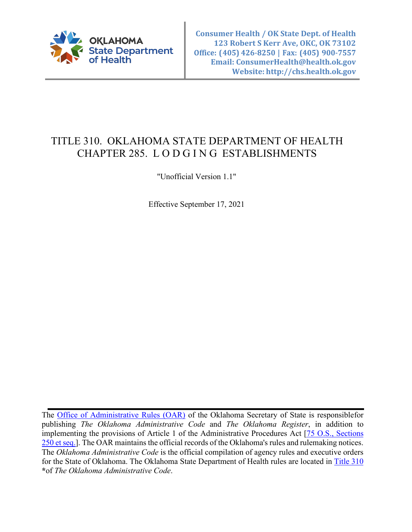

# TITLE 310. OKLAHOMA STATE DEPARTMENT OF HEALTH CHAPTER 285. LODGING ESTABLISHMENTS

"Unofficial Version 1.1"

Effective September 17, 2021

The [Office of Administrative Rules \(OAR\)](https://www.sos.ok.gov/oar/online/viewCode.aspx) of the Oklahoma Secretary of State is responsiblefor publishing *The Oklahoma Administrative Code* and *The Oklahoma Register*, in addition to implementing the provisions of Article 1 of the Administrative Procedures Act [\[75 O.S., Sections](http://www.oscn.net/applications/oscn/deliverdocument.asp?citeID=93480) [250 et seq.\]](http://www.oscn.net/applications/oscn/deliverdocument.asp?citeID=93480). The OAR maintains the official records of the Oklahoma's rules and rulemaking notices. The *Oklahoma Administrative Code* is the official compilation of agency rules and executive orders for the State of Oklahoma. The Oklahoma State Department of Health rules are located in [Title](http://www.oar.state.ok.us/oar/codedoc02.nsf/All/CD685536D68A9DFF862587750054C537?OpenDocument) 310 **\***of *The Oklahoma Administrative Code*.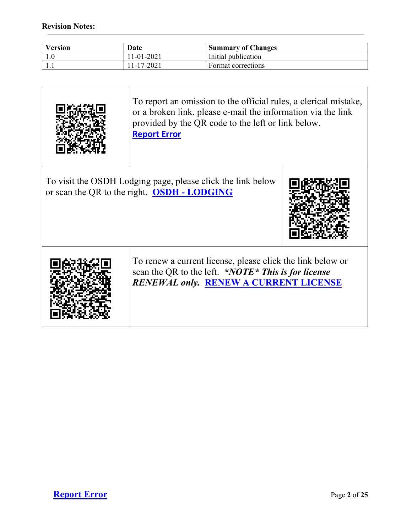**Revision Notes:**

| <b>Version</b> | Date         | <b>Summary of Changes</b> |
|----------------|--------------|---------------------------|
| 1.0            | $11-01-2021$ | Initial publication       |
| .              | $11-17-2021$ | Format corrections        |



To report an omission to the official rules, a clerical mistake, or a broken link, please e-mail the information via the link provided by the QR code to the left or link below. **[Report Error](mailto:ConsumerHealth@Health.OK.Gov?&subject=subject=%20OAC:310-285.%20%20Incorrect%20Citationand/or%20Broken%20Link)**

To visit the OSDH Lodging page, please click the link below or scan the QR to the right. **OSDH - [LODGING](https://oklahoma.gov/health/protective-health/consumer-health-service/hotel-motels.html)**





To renew a current license, please click the link below or scan the QR to the left. *\*NOTE\* This is for license RENEWAL only.* **[RENEW A CURRENT LICENSE](https://oklahoma.gov/health/protective-health/consumer-health-service/online-payments.html)**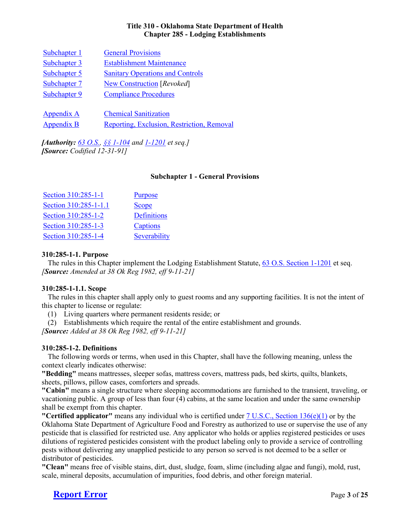### **Title 310 - Oklahoma State Department of Health Chapter 285 - Lodging Establishments**

| Subchapter 1      | <b>General Provisions</b>                  |
|-------------------|--------------------------------------------|
| Subchapter 3      | <b>Establishment Maintenance</b>           |
| Subchapter 5      | <b>Sanitary Operations and Controls</b>    |
| Subchapter 7      | New Construction [Revoked]                 |
| Subchapter 9      | <b>Compliance Procedures</b>               |
|                   |                                            |
| <b>Appendix A</b> | <b>Chemical Sanitization</b>               |
| Appendix B        | Reporting, Exclusion, Restriction, Removal |

*[Authority: [63 O.S.,](https://www.oscn.net/applications/oscn/Index.asp?ftdb=STOKST63&level=1) [§§ 1-104](https://www.oscn.net/applications/oscn/DeliverDocument.asp?CiteID=97926) and [1-1201](https://www.oscn.net/applications/oscn/DeliverDocument.asp?CiteID=98434) et seq.] [Source: Codified 12-31-91]*

#### **Subchapter 1 - General Provisions**

| Section 310:285-1-1   | <b>Purpose</b> |
|-----------------------|----------------|
| Section 310:285-1-1.1 | <b>Scope</b>   |
| Section 310:285-1-2   | Definitions    |
| Section 310:285-1-3   | Captions       |
| Section 310:285-1-4   | Severability   |

### **310:285-1-1. Purpose**

The rules in this Chapter implement the Lodging Establishment Statute[, 63 O.S. Section 1-1201](https://www.oscn.net/applications/oscn/DeliverDocument.asp?CiteID=98434) et seq. *[Source: Amended at 38 Ok Reg 1982, eff 9-11-21]*

### **310:285-1-1.1. Scope**

The rules in this chapter shall apply only to guest rooms and any supporting facilities. It is not the intent of this chapter to license or regulate:

(1) Living quarters where permanent residents reside; or

(2) Establishments which require the rental of the entire establishment and grounds.

*[Source: Added at 38 Ok Reg 1982, eff 9-11-21]*

### **310:285-1-2. Definitions**

The following words or terms, when used in this Chapter, shall have the following meaning, unless the context clearly indicates otherwise:

**"Bedding"** means mattresses, sleeper sofas, mattress covers, mattress pads, bed skirts, quilts, blankets, sheets, pillows, pillow cases, comforters and spreads.

**"Cabin"** means a single structure where sleeping accommodations are furnished to the transient, traveling, or vacationing public. A group of less than four (4) cabins, at the same location and under the same ownership shall be exempt from this chapter.

**"Certified applicator"** means any individual who is certified under [7 U.S.C., Section 136\(e\)\(1\)](http://uscode.house.gov/view.xhtml?req=granuleid:USC-prelim-title7-section136&num=0&edition=prelim) or by the Oklahoma State Department of Agriculture Food and Forestry as authorized to use or supervise the use of any pesticide that is classified for restricted use. Any applicator who holds or applies registered pesticides or uses dilutions of registered pesticides consistent with the product labeling only to provide a service of controlling pests without delivering any unapplied pesticide to any person so served is not deemed to be a seller or distributor of pesticides.

**"Clean"** means free of visible stains, dirt, dust, sludge, foam, slime (including algae and fungi), mold, rust, scale, mineral deposits, accumulation of impurities, food debris, and other foreign material.

# **[Report Error](mailto:ConsumerHealth@Health.OK.Gov?&subject=subject=%20OAC:310-285.%20%20Incorrect%20Citationand/or%20Broken%20Link)** Page 3 of 25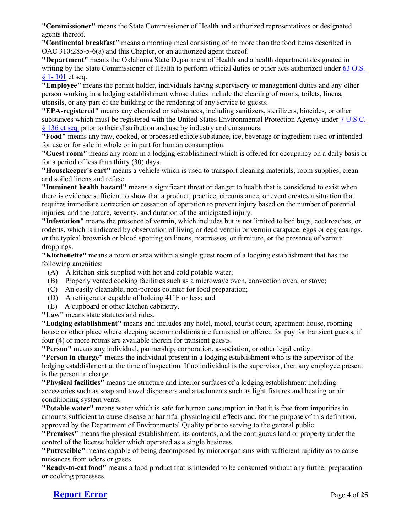**"Commissioner"** means the State Commissioner of Health and authorized representatives or designated agents thereof.

**"Continental breakfast"** means a morning meal consisting of no more than the food items described in OAC 310:285-5-6(a) and this Chapter, or an authorized agent thereof.

**"Department"** means the Oklahoma State Department of Health and a health department designated in writing by the State Commissioner of Health to perform official duties or other acts authorized under 63 O.S. [§ 1-](https://www.oscn.net/applications/oscn/DeliverDocument.asp?CiteID=97923) 101 et seq.

**"Employee"** means the permit holder, individuals having supervisory or management duties and any other person working in a lodging establishment whose duties include the cleaning of rooms, toilets, linens, utensils, or any part of the building or the rendering of any service to guests.

**"EPA-registered"** means any chemical or substances, including sanitizers, sterilizers, biocides, or other substances which must be registered with the United States Environmental Protection Agency under [7 U.S.C.](http://uscode.house.gov/view.xhtml?req=granuleid:USC-prelim-title7-section136&num=0&edition=prelim)  [§ 136 et seq.](http://uscode.house.gov/view.xhtml?req=granuleid:USC-prelim-title7-section136&num=0&edition=prelim) prior to their distribution and use by industry and consumers.

**"Food"** means any raw, cooked, or processed edible substance, ice, beverage or ingredient used or intended for use or for sale in whole or in part for human consumption.

**"Guest room"** means any room in a lodging establishment which is offered for occupancy on a daily basis or for a period of less than thirty (30) days.

**"Housekeeper's cart"** means a vehicle which is used to transport cleaning materials, room supplies, clean and soiled linens and refuse.

**"Imminent health hazard"** means a significant threat or danger to health that is considered to exist when there is evidence sufficient to show that a product, practice, circumstance, or event creates a situation that requires immediate correction or cessation of operation to prevent injury based on the number of potential injuries, and the nature, severity, and duration of the anticipated injury.

**"Infestation"** means the presence of vermin, which includes but is not limited to bed bugs, cockroaches, or rodents, which is indicated by observation of living or dead vermin or vermin carapace, eggs or egg casings, or the typical brownish or blood spotting on linens, mattresses, or furniture, or the presence of vermin droppings.

**"Kitchenette"** means a room or area within a single guest room of a lodging establishment that has the following amenities:

- (A) A kitchen sink supplied with hot and cold potable water;
- (B) Properly vented cooking facilities such as a microwave oven, convection oven, or stove;
- (C) An easily cleanable, non-porous counter for food preparation;
- (D) A refrigerator capable of holding 41°F or less; and
- (E) A cupboard or other kitchen cabinetry.

**"Law"** means state statutes and rules.

**"Lodging establishment"** means and includes any hotel, motel, tourist court, apartment house, rooming house or other place where sleeping accommodations are furnished or offered for pay for transient guests, if four (4) or more rooms are available therein for transient guests.

**"Person"** means any individual, partnership, corporation, association, or other legal entity.

**"Person in charge"** means the individual present in a lodging establishment who is the supervisor of the lodging establishment at the time of inspection. If no individual is the supervisor, then any employee present is the person in charge.

**"Physical facilities"** means the structure and interior surfaces of a lodging establishment including accessories such as soap and towel dispensers and attachments such as light fixtures and heating or air conditioning system vents.

**"Potable water"** means water which is safe for human consumption in that it is free from impurities in amounts sufficient to cause disease or harmful physiological effects and, for the purpose of this definition, approved by the Department of Environmental Quality prior to serving to the general public.

**"Premises"** means the physical establishment, its contents, and the contiguous land or property under the control of the license holder which operated as a single business.

**"Putrescible"** means capable of being decomposed by microorganisms with sufficient rapidity as to cause nuisances from odors or gases.

**"Ready-to-eat food"** means a food product that is intended to be consumed without any further preparation or cooking processes.

# **[Report Error](mailto:ConsumerHealth@Health.OK.Gov?&subject=subject=%20OAC:310-285.%20%20Incorrect%20Citationand/or%20Broken%20Link)** Page 4 of 25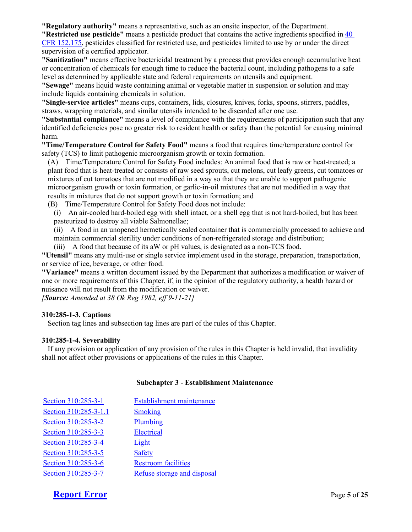**"Regulatory authority"** means a representative, such as an onsite inspector, of the Department.

**"Restricted use pesticide"** means a pesticide product that contains the active ingredients specified in [40](https://www.ecfr.gov/current/title-40/chapter-I/subchapter-E/part-152/subpart-I/section-152.175)  [CFR 152.175,](https://www.ecfr.gov/current/title-40/chapter-I/subchapter-E/part-152/subpart-I/section-152.175) pesticides classified for restricted use, and pesticides limited to use by or under the direct supervision of a certified applicator.

**"Sanitization"** means effective bactericidal treatment by a process that provides enough accumulative heat or concentration of chemicals for enough time to reduce the bacterial count, including pathogens to a safe level as determined by applicable state and federal requirements on utensils and equipment.

**"Sewage"** means liquid waste containing animal or vegetable matter in suspension or solution and may include liquids containing chemicals in solution.

**"Single-service articles"** means cups, containers, lids, closures, knives, forks, spoons, stirrers, paddles, straws, wrapping materials, and similar utensils intended to be discarded after one use.

**"Substantial compliance"** means a level of compliance with the requirements of participation such that any identified deficiencies pose no greater risk to resident health or safety than the potential for causing minimal harm.

**"Time/Temperature Control for Safety Food"** means a food that requires time/temperature control for safety (TCS) to limit pathogenic microorganism growth or toxin formation.

(A) Time/Temperature Control for Safety Food includes: An animal food that is raw or heat-treated; a plant food that is heat-treated or consists of raw seed sprouts, cut melons, cut leafy greens, cut tomatoes or mixtures of cut tomatoes that are not modified in a way so that they are unable to support pathogenic microorganism growth or toxin formation, or garlic-in-oil mixtures that are not modified in a way that results in mixtures that do not support growth or toxin formation; and

(B) Time/Temperature Control for Safety Food does not include:

(i) An air-cooled hard-boiled egg with shell intact, or a shell egg that is not hard-boiled, but has been pasteurized to destroy all viable Salmonellae;

(ii) A food in an unopened hermetically sealed container that is commercially processed to achieve and maintain commercial sterility under conditions of non-refrigerated storage and distribution;

(iii) A food that because of its aW or pH values, is designated as a non-TCS food.

**"Utensil"** means any multi-use or single service implement used in the storage, preparation, transportation, or service of ice, beverage, or other food.

**"Variance"** means a written document issued by the Department that authorizes a modification or waiver of one or more requirements of this Chapter, if, in the opinion of the regulatory authority, a health hazard or nuisance will not result from the modification or waiver.

*[Source: Amended at 38 Ok Reg 1982, eff 9-11-21]*

### **310:285-1-3. Captions**

Section tag lines and subsection tag lines are part of the rules of this Chapter.

### **310:285-1-4. Severability**

If any provision or application of any provision of the rules in this Chapter is held invalid, that invalidity shall not affect other provisions or applications of the rules in this Chapter.

### **Subchapter 3 - Establishment Maintenance**

| Section 310:285-3-1   | Establishment maintenance   |
|-----------------------|-----------------------------|
| Section 310:285-3-1.1 | Smoking                     |
| Section 310:285-3-2   | Plumbing                    |
| Section 310:285-3-3   | Electrical                  |
| Section 310:285-3-4   | Light                       |
| Section 310:285-3-5   | <b>Safety</b>               |
| Section 310:285-3-6   | <b>Restroom facilities</b>  |
| Section 310:285-3-7   | Refuse storage and disposal |

# **[Report Error](mailto:ConsumerHealth@Health.OK.Gov?&subject=subject=%20OAC:310-285.%20%20Incorrect%20Citationand/or%20Broken%20Link)** Page 5 of 25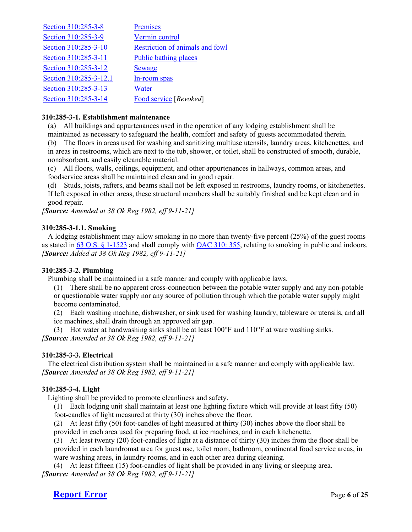| <b>Premises</b>                 |
|---------------------------------|
| Vermin control                  |
| Restriction of animals and fowl |
| <b>Public bathing places</b>    |
| Sewage                          |
| In-room spas                    |
| Water                           |
| Food service [Revoked]          |
|                                 |

### **310:285-3-1. Establishment maintenance**

(a) All buildings and appurtenances used in the operation of any lodging establishment shall be

maintained as necessary to safeguard the health, comfort and safety of guests accommodated therein. (b) The floors in areas used for washing and sanitizing multiuse utensils, laundry areas, kitchenettes, and in areas in restrooms, which are next to the tub, shower, or toilet, shall be constructed of smooth, durable, nonabsorbent, and easily cleanable material.

(c) All floors, walls, ceilings, equipment, and other appurtenances in hallways, common areas, and foodservice areas shall be maintained clean and in good repair.

(d) Studs, joists, rafters, and beams shall not be left exposed in restrooms, laundry rooms, or kitchenettes. If left exposed in other areas, these structural members shall be suitably finished and be kept clean and in good repair.

*[Source: Amended at 38 Ok Reg 1982, eff 9-11-21]*

### **310:285-3-1.1. Smoking**

A lodging establishment may allow smoking in no more than twenty-five percent (25%) of the guest rooms as stated i[n 63 O.S. § 1-1523](https://www.oscn.net/applications/oscn/DeliverDocument.asp?CiteID=437993) and shall comply with [OAC 310: 355,](http://www.oar.state.ok.us/oar/codedoc02.nsf/All/5CC2C8954FE5459A862581BB006530D1?OpenDocument) relating to smoking in public and indoors. *[Source: Added at 38 Ok Reg 1982, eff 9-11-21]*

### **310:285-3-2. Plumbing**

Plumbing shall be maintained in a safe manner and comply with applicable laws.

(1) There shall be no apparent cross-connection between the potable water supply and any non-potable or questionable water supply nor any source of pollution through which the potable water supply might become contaminated.

(2) Each washing machine, dishwasher, or sink used for washing laundry, tableware or utensils, and all ice machines, shall drain through an approved air gap.

(3) Hot water at handwashing sinks shall be at least  $100^{\circ}$ F and  $110^{\circ}$ F at ware washing sinks.

*[Source: Amended at 38 Ok Reg 1982, eff 9-11-21]*

### **310:285-3-3. Electrical**

The electrical distribution system shall be maintained in a safe manner and comply with applicable law. *[Source: Amended at 38 Ok Reg 1982, eff 9-11-21]*

### **310:285-3-4. Light**

Lighting shall be provided to promote cleanliness and safety.

(1) Each lodging unit shall maintain at least one lighting fixture which will provide at least fifty (50) foot-candles of light measured at thirty (30) inches above the floor.

(2) At least fifty (50) foot-candles of light measured at thirty (30) inches above the floor shall be provided in each area used for preparing food, at ice machines, and in each kitchenette.

(3) At least twenty (20) foot-candles of light at a distance of thirty (30) inches from the floor shall be provided in each laundromat area for guest use, toilet room, bathroom, continental food service areas, in ware washing areas, in laundry rooms, and in each other area during cleaning.

(4) At least fifteen (15) foot-candles of light shall be provided in any living or sleeping area.

*[Source: Amended at 38 Ok Reg 1982, eff 9-11-21]*

# **[Report Error](mailto:ConsumerHealth@Health.OK.Gov?&subject=subject=%20OAC:310-285.%20%20Incorrect%20Citationand/or%20Broken%20Link)** Page 6 of 25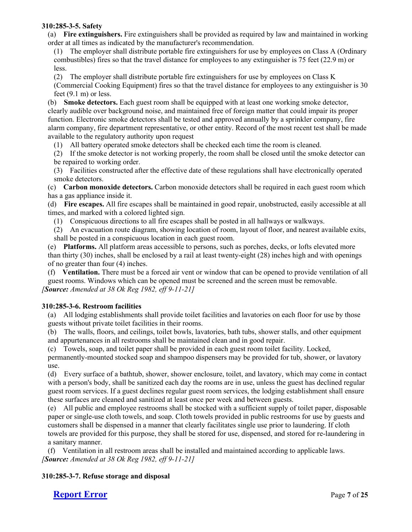### **310:285-3-5. Safety**

(a) **Fire extinguishers.** Fire extinguishers shall be provided as required by law and maintained in working order at all times as indicated by the manufacturer's recommendation.

(1) The employer shall distribute portable fire extinguishers for use by employees on Class A (Ordinary combustibles) fires so that the travel distance for employees to any extinguisher is 75 feet (22.9 m) or less.

(2) The employer shall distribute portable fire extinguishers for use by employees on Class K

(Commercial Cooking Equipment) fires so that the travel distance for employees to any extinguisher is 30 feet (9.1 m) or less.

(b) **Smoke detectors.** Each guest room shall be equipped with at least one working smoke detector, clearly audible over background noise, and maintained free of foreign matter that could impair its proper function. Electronic smoke detectors shall be tested and approved annually by a sprinkler company, fire alarm company, fire department representative, or other entity. Record of the most recent test shall be made available to the regulatory authority upon request

(1) All battery operated smoke detectors shall be checked each time the room is cleaned.

(2) If the smoke detector is not working properly, the room shall be closed until the smoke detector can be repaired to working order.

(3) Facilities constructed after the effective date of these regulations shall have electronically operated smoke detectors.

(c) **Carbon monoxide detectors.** Carbon monoxide detectors shall be required in each guest room which has a gas appliance inside it.

(d) **Fire escapes.** All fire escapes shall be maintained in good repair, unobstructed, easily accessible at all times, and marked with a colored lighted sign.

(1) Conspicuous directions to all fire escapes shall be posted in all hallways or walkways.

(2) An evacuation route diagram, showing location of room, layout of floor, and nearest available exits, shall be posted in a conspicuous location in each guest room.

(e) **Platforms.** All platform areas accessible to persons, such as porches, decks, or lofts elevated more than thirty (30) inches, shall be enclosed by a rail at least twenty-eight (28) inches high and with openings of no greater than four (4) inches.

(f) **Ventilation.** There must be a forced air vent or window that can be opened to provide ventilation of all guest rooms. Windows which can be opened must be screened and the screen must be removable. *[Source: Amended at 38 Ok Reg 1982, eff 9-11-21]*

### **310:285-3-6. Restroom facilities**

(a) All lodging establishments shall provide toilet facilities and lavatories on each floor for use by those guests without private toilet facilities in their rooms.

(b) The walls, floors, and ceilings, toilet bowls, lavatories, bath tubs, shower stalls, and other equipment and appurtenances in all restrooms shall be maintained clean and in good repair.

(c) Towels, soap, and toilet paper shall be provided in each guest room toilet facility. Locked,

permanently-mounted stocked soap and shampoo dispensers may be provided for tub, shower, or lavatory use.

(d) Every surface of a bathtub, shower, shower enclosure, toilet, and lavatory, which may come in contact with a person's body, shall be sanitized each day the rooms are in use, unless the guest has declined regular guest room services. If a guest declines regular guest room services, the lodging establishment shall ensure these surfaces are cleaned and sanitized at least once per week and between guests.

(e) All public and employee restrooms shall be stocked with a sufficient supply of toilet paper, disposable paper or single-use cloth towels, and soap. Cloth towels provided in public restrooms for use by guests and customers shall be dispensed in a manner that clearly facilitates single use prior to laundering. If cloth towels are provided for this purpose, they shall be stored for use, dispensed, and stored for re-laundering in a sanitary manner.

(f) Ventilation in all restroom areas shall be installed and maintained according to applicable laws. *[Source: Amended at 38 Ok Reg 1982, eff 9-11-21]*

### **310:285-3-7. Refuse storage and disposal**

**[Report Error](mailto:ConsumerHealth@Health.OK.Gov?&subject=subject=%20OAC:310-285.%20%20Incorrect%20Citationand/or%20Broken%20Link)** Page 7 of 25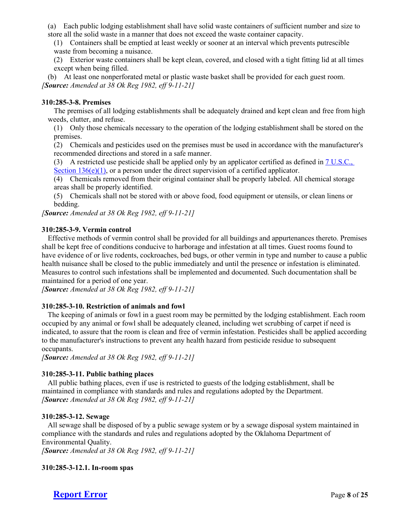(a) Each public lodging establishment shall have solid waste containers of sufficient number and size to store all the solid waste in a manner that does not exceed the waste container capacity.

(1) Containers shall be emptied at least weekly or sooner at an interval which prevents putrescible waste from becoming a nuisance.

(2) Exterior waste containers shall be kept clean, covered, and closed with a tight fitting lid at all times except when being filled.

(b) At least one nonperforated metal or plastic waste basket shall be provided for each guest room. *[Source: Amended at 38 Ok Reg 1982, eff 9-11-21]*

### **310:285-3-8. Premises**

The premises of all lodging establishments shall be adequately drained and kept clean and free from high weeds, clutter, and refuse.

(1) Only those chemicals necessary to the operation of the lodging establishment shall be stored on the premises.

(2) Chemicals and pesticides used on the premises must be used in accordance with the manufacturer's recommended directions and stored in a safe manner.

(3) A restricted use pesticide shall be applied only by an applicator certified as defined in  $7 \text{ U.S.C.}$ , Section  $136(e)(1)$ , or a person under the direct supervision of a certified applicator.

(4) Chemicals removed from their original container shall be properly labeled. All chemical storage areas shall be properly identified.

(5) Chemicals shall not be stored with or above food, food equipment or utensils, or clean linens or bedding.

*[Source: Amended at 38 Ok Reg 1982, eff 9-11-21]*

### **310:285-3-9. Vermin control**

Effective methods of vermin control shall be provided for all buildings and appurtenances thereto. Premises shall be kept free of conditions conducive to harborage and infestation at all times. Guest rooms found to have evidence of or live rodents, cockroaches, bed bugs, or other vermin in type and number to cause a public health nuisance shall be closed to the public immediately and until the presence or infestation is eliminated. Measures to control such infestations shall be implemented and documented. Such documentation shall be maintained for a period of one year.

*[Source: Amended at 38 Ok Reg 1982, eff 9-11-21]*

### **310:285-3-10. Restriction of animals and fowl**

The keeping of animals or fowl in a guest room may be permitted by the lodging establishment. Each room occupied by any animal or fowl shall be adequately cleaned, including wet scrubbing of carpet if need is indicated, to assure that the room is clean and free of vermin infestation. Pesticides shall be applied according to the manufacturer's instructions to prevent any health hazard from pesticide residue to subsequent occupants.

*[Source: Amended at 38 Ok Reg 1982, eff 9-11-21]*

### **310:285-3-11. Public bathing places**

All public bathing places, even if use is restricted to guests of the lodging establishment, shall be maintained in compliance with standards and rules and regulations adopted by the Department. *[Source: Amended at 38 Ok Reg 1982, eff 9-11-21]*

### **310:285-3-12. Sewage**

All sewage shall be disposed of by a public sewage system or by a sewage disposal system maintained in compliance with the standards and rules and regulations adopted by the Oklahoma Department of Environmental Quality.

*[Source: Amended at 38 Ok Reg 1982, eff 9-11-21]*

### **310:285-3-12.1. In-room spas**

**[Report Error](mailto:ConsumerHealth@Health.OK.Gov?&subject=subject=%20OAC:310-285.%20%20Incorrect%20Citationand/or%20Broken%20Link)** Page 8 of 25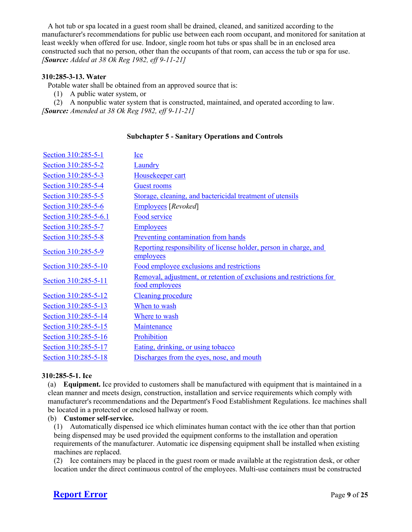A hot tub or spa located in a guest room shall be drained, cleaned, and sanitized according to the manufacturer's recommendations for public use between each room occupant, and monitored for sanitation at least weekly when offered for use. Indoor, single room hot tubs or spas shall be in an enclosed area constructed such that no person, other than the occupants of that room, can access the tub or spa for use. *[Source: Added at 38 Ok Reg 1982, eff 9-11-21]*

### **310:285-3-13. Water**

Potable water shall be obtained from an approved source that is:

(1) A public water system, or

(2) A nonpublic water system that is constructed, maintained, and operated according to law. *[Source: Amended at 38 Ok Reg 1982, eff 9-11-21]*

## [Section 310:285-5-1](http://www.oar.state.ok.us/viewhtml/310_285-5-1.htm) [Ice](http://www.oar.state.ok.us/viewhtml/310_285-5-1.htm) [Section 310:285-5-2](http://www.oar.state.ok.us/viewhtml/310_285-5-2.htm) [Laundry](http://www.oar.state.ok.us/viewhtml/310_285-5-2.htm) [Section 310:285-5-3](http://www.oar.state.ok.us/viewhtml/310_285-5-3.htm) [Housekeeper cart](http://www.oar.state.ok.us/viewhtml/310_285-5-3.htm) [Section 310:285-5-4](http://www.oar.state.ok.us/viewhtml/310_285-5-4.htm) [Guest rooms](http://www.oar.state.ok.us/viewhtml/310_285-5-4.htm) [Section 310:285-5-5](http://www.oar.state.ok.us/viewhtml/310_285-5-5.htm) [Storage, cleaning, and bactericidal treatment of utensils](http://www.oar.state.ok.us/viewhtml/310_285-5-5.htm) [Section 310:285-5-6](http://www.oar.state.ok.us/viewhtml/310_285-5-6.htm) [Employees](http://www.oar.state.ok.us/viewhtml/310_285-5-6.htm) [*Revoked*] [Section 310:285-5-6.1](http://www.oar.state.ok.us/viewhtml/310_285-5-6.1.htm) [Food service](http://www.oar.state.ok.us/viewhtml/310_285-5-6.1.htm) [Section 310:285-5-7](http://www.oar.state.ok.us/viewhtml/310_285-5-7.htm) [Employees](http://www.oar.state.ok.us/viewhtml/310_285-5-7.htm) [Section 310:285-5-8](http://www.oar.state.ok.us/viewhtml/310_285-5-8.htm) [Preventing contamination from hands](http://www.oar.state.ok.us/viewhtml/310_285-5-8.htm) [Section 310:285-5-9](http://www.oar.state.ok.us/viewhtml/310_285-5-9.htm) Reporting responsibility of license holder, person in charge, and [employees](http://www.oar.state.ok.us/viewhtml/310_285-5-9.htm) [Section 310:285-5-10](http://www.oar.state.ok.us/viewhtml/310_285-5-10.htm) [Food employee exclusions and restrictions](http://www.oar.state.ok.us/viewhtml/310_285-5-10.htm) [Section 310:285-5-11](http://www.oar.state.ok.us/viewhtml/310_285-5-11.htm) Removal, adjustment, or retention of exclusions and restrictions for [food employees](http://www.oar.state.ok.us/viewhtml/310_285-5-11.htm) [Section 310:285-5-12](http://www.oar.state.ok.us/viewhtml/310_285-5-12.htm) [Cleaning procedure](http://www.oar.state.ok.us/viewhtml/310_285-5-12.htm) [Section 310:285-5-13](http://www.oar.state.ok.us/viewhtml/310_285-5-13.htm) [When to wash](http://www.oar.state.ok.us/viewhtml/310_285-5-13.htm) [Section 310:285-5-14](http://www.oar.state.ok.us/viewhtml/310_285-5-14.htm) [Where to wash](http://www.oar.state.ok.us/viewhtml/310_285-5-14.htm) [Section 310:285-5-15](http://www.oar.state.ok.us/viewhtml/310_285-5-15.htm) [Maintenance](http://www.oar.state.ok.us/viewhtml/310_285-5-15.htm) [Section 310:285-5-16](http://www.oar.state.ok.us/viewhtml/310_285-5-16.htm) [Prohibition](http://www.oar.state.ok.us/viewhtml/310_285-5-16.htm) [Section 310:285-5-17](http://www.oar.state.ok.us/viewhtml/310_285-5-17.htm) [Eating, drinking, or using tobacco](http://www.oar.state.ok.us/viewhtml/310_285-5-17.htm) [Section 310:285-5-18](http://www.oar.state.ok.us/viewhtml/310_285-5-18.htm) [Discharges from the eyes, nose, and mouth](http://www.oar.state.ok.us/viewhtml/310_285-5-18.htm)

### **Subchapter 5 - Sanitary Operations and Controls**

### **310:285-5-1. Ice**

(a) **Equipment.** Ice provided to customers shall be manufactured with equipment that is maintained in a clean manner and meets design, construction, installation and service requirements which comply with manufacturer's recommendations and the Department's Food Establishment Regulations. Ice machines shall be located in a protected or enclosed hallway or room.

### (b) **Customer self-service.**

(1) Automatically dispensed ice which eliminates human contact with the ice other than that portion being dispensed may be used provided the equipment conforms to the installation and operation requirements of the manufacturer. Automatic ice dispensing equipment shall be installed when existing machines are replaced.

(2) Ice containers may be placed in the guest room or made available at the registration desk, or other location under the direct continuous control of the employees. Multi-use containers must be constructed

## **[Report Error](mailto:ConsumerHealth@Health.OK.Gov?&subject=subject=%20OAC:310-285.%20%20Incorrect%20Citationand/or%20Broken%20Link)** Page 9 of 25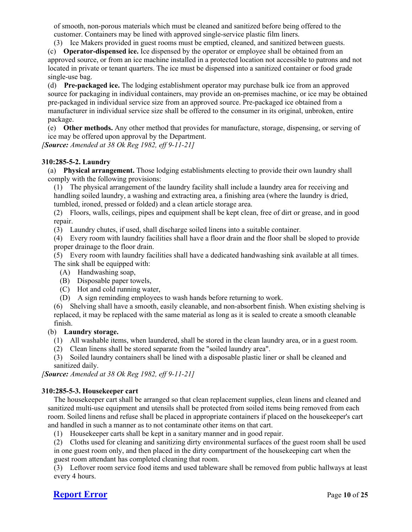of smooth, non-porous materials which must be cleaned and sanitized before being offered to the customer. Containers may be lined with approved single-service plastic film liners.

(3) Ice Makers provided in guest rooms must be emptied, cleaned, and sanitized between guests.

(c) **Operator-dispensed ice.** Ice dispensed by the operator or employee shall be obtained from an approved source, or from an ice machine installed in a protected location not accessible to patrons and not located in private or tenant quarters. The ice must be dispensed into a sanitized container or food grade single-use bag.

(d) **Pre-packaged ice.** The lodging establishment operator may purchase bulk ice from an approved source for packaging in individual containers, may provide an on-premises machine, or ice may be obtained pre-packaged in individual service size from an approved source. Pre-packaged ice obtained from a manufacturer in individual service size shall be offered to the consumer in its original, unbroken, entire package.

(e) **Other methods.** Any other method that provides for manufacture, storage, dispensing, or serving of ice may be offered upon approval by the Department.

*[Source: Amended at 38 Ok Reg 1982, eff 9-11-21]*

### **310:285-5-2. Laundry**

(a) **Physical arrangement.** Those lodging establishments electing to provide their own laundry shall comply with the following provisions:

(1) The physical arrangement of the laundry facility shall include a laundry area for receiving and handling soiled laundry, a washing and extracting area, a finishing area (where the laundry is dried, tumbled, ironed, pressed or folded) and a clean article storage area.

(2) Floors, walls, ceilings, pipes and equipment shall be kept clean, free of dirt or grease, and in good repair.

(3) Laundry chutes, if used, shall discharge soiled linens into a suitable container.

(4) Every room with laundry facilities shall have a floor drain and the floor shall be sloped to provide proper drainage to the floor drain.

(5) Every room with laundry facilities shall have a dedicated handwashing sink available at all times. The sink shall be equipped with:

- (A) Handwashing soap,
- (B) Disposable paper towels,
- (C) Hot and cold running water,
- (D) A sign reminding employees to wash hands before returning to work.

(6) Shelving shall have a smooth, easily cleanable, and non-absorbent finish. When existing shelving is replaced, it may be replaced with the same material as long as it is sealed to create a smooth cleanable finish.

### (b) **Laundry storage.**

- (1) All washable items, when laundered, shall be stored in the clean laundry area, or in a guest room.
- (2) Clean linens shall be stored separate from the "soiled laundry area".

(3) Soiled laundry containers shall be lined with a disposable plastic liner or shall be cleaned and sanitized daily.

*[Source: Amended at 38 Ok Reg 1982, eff 9-11-21]*

### **310:285-5-3. Housekeeper cart**

The housekeeper cart shall be arranged so that clean replacement supplies, clean linens and cleaned and sanitized multi-use equipment and utensils shall be protected from soiled items being removed from each room. Soiled linens and refuse shall be placed in appropriate containers if placed on the housekeeper's cart and handled in such a manner as to not contaminate other items on that cart.

(1) Housekeeper carts shall be kept in a sanitary manner and in good repair.

(2) Cloths used for cleaning and sanitizing dirty environmental surfaces of the guest room shall be used in one guest room only, and then placed in the dirty compartment of the housekeeping cart when the guest room attendant has completed cleaning that room.

(3) Leftover room service food items and used tableware shall be removed from public hallways at least every 4 hours.

# **[Report Error](mailto:ConsumerHealth@Health.OK.Gov?&subject=subject=%20OAC:310-285.%20%20Incorrect%20Citationand/or%20Broken%20Link)** Page 10 of 25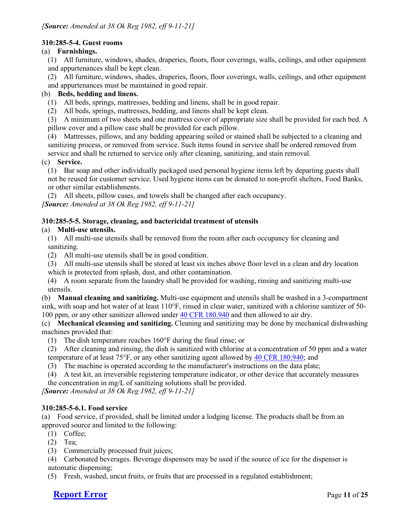## **310:285-5-4. Guest rooms**

### (a) **Furnishings.**

(1) All furniture, windows, shades, draperies, floors, floor coverings, walls, ceilings, and other equipment and appurtenances shall be kept clean.

(2) All furniture, windows, shades, draperies, floors, floor coverings, walls, ceilings, and other equipment

and appurtenances must be maintained in good repair.

### (b) **Beds, bedding and linens.**

(1) All beds, springs, mattresses, bedding and linens, shall be in good repair.

(2) All beds, springs, mattresses, bedding, and linens shall be kept clean.

(3) A minimum of two sheets and one mattress cover of appropriate size shall be provided for each bed. A pillow cover and a pillow case shall be provided for each pillow.

(4) Mattresses, pillows, and any bedding appearing soiled or stained shall be subjected to a cleaning and sanitizing process, or removed from service. Such items found in service shall be ordered removed from service and shall be returned to service only after cleaning, sanitizing, and stain removal.

(c) **Service.**

(1) Bar soap and other individually packaged used personal hygiene items left by departing guests shall not be reused for customer service. Used hygiene items can be donated to non-profit shelters, Food Banks, or other similar establishments.

(2) All sheets, pillow cases, and towels shall be changed after each occupancy. *[Source: Amended at 38 Ok Reg 1982, eff 9-11-21]*

### **310:285-5-5. Storage, cleaning, and bactericidal treatment of utensils**

### (a) **Multi-use utensils.**

(1) All multi-use utensils shall be removed from the room after each occupancy for cleaning and sanitizing.

(2) All multi-use utensils shall be in good condition.

(3) All multi-use utensils shall be stored at least six inches above floor level in a clean and dry location which is protected from splash, dust, and other contamination.

(4) A room separate from the laundry shall be provided for washing, rinsing and sanitizing multi-use utensils.

(b) **Manual cleaning and sanitizing.** Multi-use equipment and utensils shall be washed in a 3-compartment sink, with soap and hot water of at least 110°F, rinsed in clear water, sanitized with a chlorine sanitizer of 50- 100 ppm, or any other sanitizer allowed under [40 CFR 180.940](https://www.ecfr.gov/current/title-40/chapter-I/subchapter-E/part-180/subpart-D/section-180.940) and then allowed to air dry.

(c) **Mechanical cleansing and sanitizing.** Cleaning and sanitizing may be done by mechanical dishwashing machines provided that:

(1) The dish temperature reaches 160°F during the final rinse; or

(2) After cleaning and rinsing, the dish is sanitized with chlorine at a concentration of 50 ppm and a water temperature of at least 75°F, or any other sanitizing agent allowed by [40 CFR 180.940;](https://www.ecfr.gov/current/title-40/chapter-I/subchapter-E/part-180/subpart-D/section-180.940) and

(3) The machine is operated according to the manufacturer's instructions on the data plate;

(4) A test kit, an irreversible registering temperature indicator, or other device that accurately measures the concentration in mg/L of sanitizing solutions shall be provided.

*[Source: Amended at 38 Ok Reg 1982, eff 9-11-21]*

### **310:285-5-6.1. Food service**

(a) Food service, if provided, shall be limited under a lodging license. The products shall be from an approved source and limited to the following:

- (1) Coffee;
- (2) Tea;
- (3) Commercially processed fruit juices;

(4) Carbonated beverages. Beverage dispensers may be used if the source of ice for the dispenser is automatic dispensing;

(5) Fresh, washed, uncut fruits, or fruits that are processed in a regulated establishment;

# **[Report Error](mailto:ConsumerHealth@Health.OK.Gov?&subject=subject=%20OAC:310-285.%20%20Incorrect%20Citationand/or%20Broken%20Link)** Page 11 of 25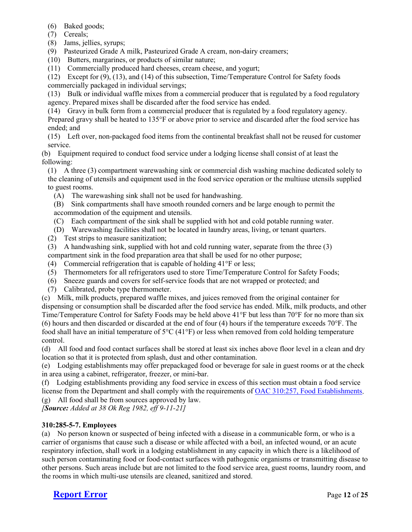- (6) Baked goods;
- (7) Cereals;
- (8) Jams, jellies, syrups;
- (9) Pasteurized Grade A milk, Pasteurized Grade A cream, non-dairy creamers;
- (10) Butters, margarines, or products of similar nature;
- (11) Commercially produced hard cheeses, cream cheese, and yogurt;

(12) Except for (9), (13), and (14) of this subsection, Time/Temperature Control for Safety foods commercially packaged in individual servings;

(13) Bulk or individual waffle mixes from a commercial producer that is regulated by a food regulatory agency. Prepared mixes shall be discarded after the food service has ended.

(14) Gravy in bulk form from a commercial producer that is regulated by a food regulatory agency.

Prepared gravy shall be heated to 135°F or above prior to service and discarded after the food service has ended; and

(15) Left over, non-packaged food items from the continental breakfast shall not be reused for customer service.

(b) Equipment required to conduct food service under a lodging license shall consist of at least the following:

(1) A three (3) compartment warewashing sink or commercial dish washing machine dedicated solely to the cleaning of utensils and equipment used in the food service operation or the multiuse utensils supplied to guest rooms.

(A) The warewashing sink shall not be used for handwashing.

(B) Sink compartments shall have smooth rounded corners and be large enough to permit the accommodation of the equipment and utensils.

- (C) Each compartment of the sink shall be supplied with hot and cold potable running water.
- (D) Warewashing facilities shall not be located in laundry areas, living, or tenant quarters.
- (2) Test strips to measure sanitization;
- (3) A handwashing sink, supplied with hot and cold running water, separate from the three (3)
- compartment sink in the food preparation area that shall be used for no other purpose;
- (4) Commercial refrigeration that is capable of holding 41°F or less;
- (5) Thermometers for all refrigerators used to store Time/Temperature Control for Safety Foods;
- (6) Sneeze guards and covers for self-service foods that are not wrapped or protected; and
- (7) Calibrated, probe type thermometer.

(c) Milk, milk products, prepared waffle mixes, and juices removed from the original container for dispensing or consumption shall be discarded after the food service has ended. Milk, milk products, and other Time/Temperature Control for Safety Foods may be held above 41°F but less than 70°F for no more than six (6) hours and then discarded or discarded at the end of four (4) hours if the temperature exceeds  $70^{\circ}$ F. The food shall have an initial temperature of 5°C (41°F) or less when removed from cold holding temperature control.

(d) All food and food contact surfaces shall be stored at least six inches above floor level in a clean and dry location so that it is protected from splash, dust and other contamination.

(e) Lodging establishments may offer prepackaged food or beverage for sale in guest rooms or at the check in area using a cabinet, refrigerator, freezer, or mini-bar.

(f) Lodging establishments providing any food service in excess of this section must obtain a food service license from the Department and shall comply with the requirements of [OAC 310:257, Food Establishments.](http://www.oar.state.ok.us/oar/codedoc02.nsf/All/0BC220AEBF28A0AC862587750054C86E?OpenDocument) (g) All food shall be from sources approved by law.

*[Source: Added at 38 Ok Reg 1982, eff 9-11-21]*

### **310:285-5-7. Employees**

(a) No person known or suspected of being infected with a disease in a communicable form, or who is a carrier of organisms that cause such a disease or while affected with a boil, an infected wound, or an acute respiratory infection, shall work in a lodging establishment in any capacity in which there is a likelihood of such person contaminating food or food-contact surfaces with pathogenic organisms or transmitting disease to other persons. Such areas include but are not limited to the food service area, guest rooms, laundry room, and the rooms in which multi-use utensils are cleaned, sanitized and stored.

# **[Report Error](mailto:ConsumerHealth@Health.OK.Gov?&subject=subject=%20OAC:310-285.%20%20Incorrect%20Citationand/or%20Broken%20Link)** Page 12 of 25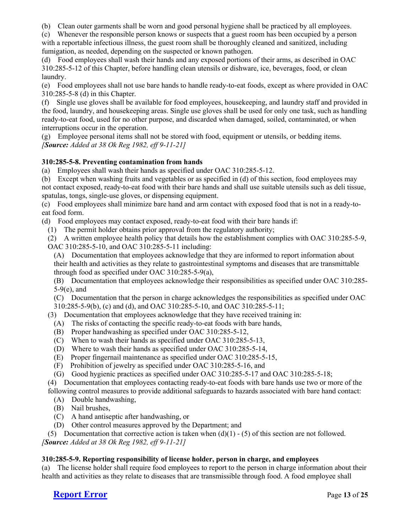(b) Clean outer garments shall be worn and good personal hygiene shall be practiced by all employees.

(c) Whenever the responsible person knows or suspects that a guest room has been occupied by a person with a reportable infectious illness, the guest room shall be thoroughly cleaned and sanitized, including fumigation, as needed, depending on the suspected or known pathogen.

(d) Food employees shall wash their hands and any exposed portions of their arms, as described in OAC 310:285-5-12 of this Chapter, before handling clean utensils or dishware, ice, beverages, food, or clean laundry.

(e) Food employees shall not use bare hands to handle ready-to-eat foods, except as where provided in OAC 310:285-5-8 (d) in this Chapter.

(f) Single use gloves shall be available for food employees, housekeeping, and laundry staff and provided in the food, laundry, and housekeeping areas. Single use gloves shall be used for only one task, such as handling ready-to-eat food, used for no other purpose, and discarded when damaged, soiled, contaminated, or when interruptions occur in the operation.

(g) Employee personal items shall not be stored with food, equipment or utensils, or bedding items. *[Source: Added at 38 Ok Reg 1982, eff 9-11-21]*

### **310:285-5-8. Preventing contamination from hands**

(a) Employees shall wash their hands as specified under OAC 310:285-5-12.

(b) Except when washing fruits and vegetables or as specified in (d) of this section, food employees may not contact exposed, ready-to-eat food with their bare hands and shall use suitable utensils such as deli tissue, spatulas, tongs, single-use gloves, or dispensing equipment.

(c) Food employees shall minimize bare hand and arm contact with exposed food that is not in a ready-toeat food form.

(d) Food employees may contact exposed, ready-to-eat food with their bare hands if:

(1) The permit holder obtains prior approval from the regulatory authority;

(2) A written employee health policy that details how the establishment complies with OAC 310:285-5-9, OAC 310:285-5-10, and OAC 310:285-5-11 including:

(A) Documentation that employees acknowledge that they are informed to report information about their health and activities as they relate to gastrointestinal symptoms and diseases that are transmittable through food as specified under OAC 310:285-5-9(a),

(B) Documentation that employees acknowledge their responsibilities as specified under OAC 310:285- 5-9(e), and

(C) Documentation that the person in charge acknowledges the responsibilities as specified under OAC 310:285-5-9(b), (c) and (d), and OAC 310:285-5-10, and OAC 310:285-5-11;

(3) Documentation that employees acknowledge that they have received training in:

- (A) The risks of contacting the specific ready-to-eat foods with bare hands,
- (B) Proper handwashing as specified under OAC 310:285-5-12,
- (C) When to wash their hands as specified under OAC 310:285-5-13,
- (D) Where to wash their hands as specified under OAC 310:285-5-14,
- (E) Proper fingernail maintenance as specified under OAC 310:285-5-15,
- (F) Prohibition of jewelry as specified under OAC 310:285-5-16, and
- (G) Good hygienic practices as specified under OAC 310:285-5-17 and OAC 310:285-5-18;

(4) Documentation that employees contacting ready-to-eat foods with bare hands use two or more of the following control measures to provide additional safeguards to hazards associated with bare hand contact:

- (A) Double handwashing,
- (B) Nail brushes,
- (C) A hand antiseptic after handwashing, or
- (D) Other control measures approved by the Department; and

(5) Documentation that corrective action is taken when  $(d)(1) - (5)$  of this section are not followed. *[Source: Added at 38 Ok Reg 1982, eff 9-11-21]*

### **310:285-5-9. Reporting responsibility of license holder, person in charge, and employees**

(a) The license holder shall require food employees to report to the person in charge information about their health and activities as they relate to diseases that are transmissible through food. A food employee shall

# **[Report Error](mailto:ConsumerHealth@Health.OK.Gov?&subject=subject=%20OAC:310-285.%20%20Incorrect%20Citationand/or%20Broken%20Link)** Page 13 of 25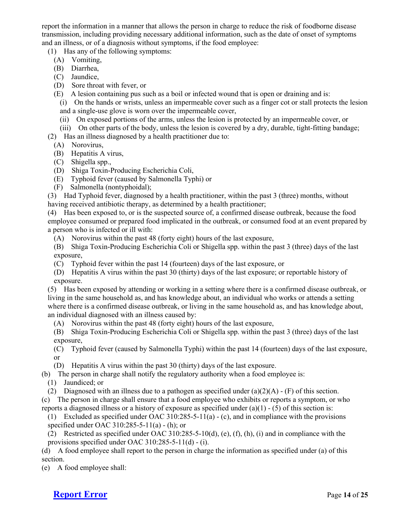report the information in a manner that allows the person in charge to reduce the risk of foodborne disease transmission, including providing necessary additional information, such as the date of onset of symptoms and an illness, or of a diagnosis without symptoms, if the food employee:

(1) Has any of the following symptoms:

- (A) Vomiting,
- (B) Diarrhea,
- (C) Jaundice,
- (D) Sore throat with fever, or
- (E) A lesion containing pus such as a boil or infected wound that is open or draining and is:
- (i) On the hands or wrists, unless an impermeable cover such as a finger cot or stall protects the lesion and a single-use glove is worn over the impermeable cover,
	- (ii) On exposed portions of the arms, unless the lesion is protected by an impermeable cover, or
- (iii) On other parts of the body, unless the lesion is covered by a dry, durable, tight-fitting bandage;
- (2) Has an illness diagnosed by a health practitioner due to:
	- (A) Norovirus,
	- (B) Hepatitis A virus,
	- (C) Shigella spp.,
	- (D) Shiga Toxin-Producing Escherichia Coli,
	- (E) Typhoid fever (caused by Salmonella Typhi) or
	- (F) Salmonella (nontyphoidal);

(3) Had Typhoid fever, diagnosed by a health practitioner, within the past 3 (three) months, without having received antibiotic therapy, as determined by a health practitioner;

(4) Has been exposed to, or is the suspected source of, a confirmed disease outbreak, because the food employee consumed or prepared food implicated in the outbreak, or consumed food at an event prepared by a person who is infected or ill with:

(A) Norovirus within the past 48 (forty eight) hours of the last exposure,

(B) Shiga Toxin-Producing Escherichia Coli or Shigella spp. within the past 3 (three) days of the last exposure,

- (C) Typhoid fever within the past 14 (fourteen) days of the last exposure, or
- (D) Hepatitis A virus within the past 30 (thirty) days of the last exposure; or reportable history of exposure.

(5) Has been exposed by attending or working in a setting where there is a confirmed disease outbreak, or living in the same household as, and has knowledge about, an individual who works or attends a setting where there is a confirmed disease outbreak, or living in the same household as, and has knowledge about, an individual diagnosed with an illness caused by:

- (A) Norovirus within the past 48 (forty eight) hours of the last exposure,
- (B) Shiga Toxin-Producing Escherichia Coli or Shigella spp. within the past 3 (three) days of the last exposure,
- (C) Typhoid fever (caused by Salmonella Typhi) within the past 14 (fourteen) days of the last exposure, or
- (D) Hepatitis A virus within the past 30 (thirty) days of the last exposure.
- (b) The person in charge shall notify the regulatory authority when a food employee is:
	- (1) Jaundiced; or
	- (2) Diagnosed with an illness due to a pathogen as specified under (a)(2)(A) (F) of this section.

(c) The person in charge shall ensure that a food employee who exhibits or reports a symptom, or who reports a diagnosed illness or a history of exposure as specified under (a)(1) - (5) of this section is:

- (1) Excluded as specified under OAC 310:285-5-11(a)  $-$  (c), and in compliance with the provisions specified under OAC 310:285-5-11(a) - (h); or
- (2) Restricted as specified under OAC 310:285-5-10(d), (e), (f), (h), (i) and in compliance with the provisions specified under OAC 310:285-5-11(d) - (i).

(d) A food employee shall report to the person in charge the information as specified under (a) of this section.

(e) A food employee shall:

**[Report Error](mailto:ConsumerHealth@Health.OK.Gov?&subject=subject=%20OAC:310-285.%20%20Incorrect%20Citationand/or%20Broken%20Link)** Page 14 of 25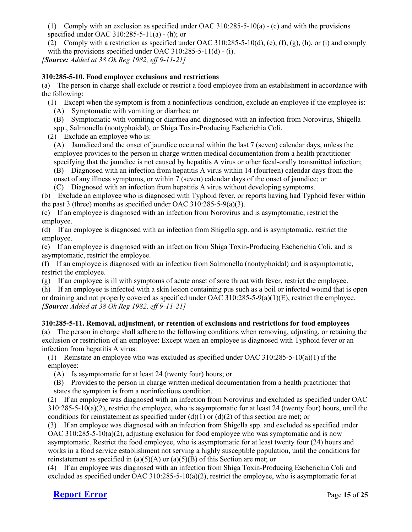(1) Comply with an exclusion as specified under OAC 310:285-5-10(a) - (c) and with the provisions specified under OAC 310:285-5-11(a) - (h); or

(2) Comply with a restriction as specified under OAC 310:285-5-10(d), (e), (f), (g), (h), or (i) and comply with the provisions specified under OAC 310:285-5-11(d) - (i). *[Source: Added at 38 Ok Reg 1982, eff 9-11-21]*

### **310:285-5-10. Food employee exclusions and restrictions**

(a) The person in charge shall exclude or restrict a food employee from an establishment in accordance with the following:

(1) Except when the symptom is from a noninfectious condition, exclude an employee if the employee is:

(A) Symptomatic with vomiting or diarrhea; or

(B) Symptomatic with vomiting or diarrhea and diagnosed with an infection from Norovirus, Shigella spp., Salmonella (nontyphoidal), or Shiga Toxin-Producing Escherichia Coli.

(2) Exclude an employee who is:

(A) Jaundiced and the onset of jaundice occurred within the last 7 (seven) calendar days, unless the employee provides to the person in charge written medical documentation from a health practitioner specifying that the jaundice is not caused by hepatitis A virus or other fecal-orally transmitted infection;

(B) Diagnosed with an infection from hepatitis A virus within 14 (fourteen) calendar days from the onset of any illness symptoms, or within 7 (seven) calendar days of the onset of jaundice; or

(C) Diagnosed with an infection from hepatitis A virus without developing symptoms.

(b) Exclude an employee who is diagnosed with Typhoid fever, or reports having had Typhoid fever within the past 3 (three) months as specified under OAC 310:285-5-9(a)(3).

(c) If an employee is diagnosed with an infection from Norovirus and is asymptomatic, restrict the employee.

(d) If an employee is diagnosed with an infection from Shigella spp. and is asymptomatic, restrict the employee.

(e) If an employee is diagnosed with an infection from Shiga Toxin-Producing Escherichia Coli, and is asymptomatic, restrict the employee.

(f) If an employee is diagnosed with an infection from Salmonella (nontyphoidal) and is asymptomatic, restrict the employee.

(g) If an employee is ill with symptoms of acute onset of sore throat with fever, restrict the employee.

(h) If an employee is infected with a skin lesion containing pus such as a boil or infected wound that is open or draining and not properly covered as specified under OAC 310:285-5-9(a)(1)(E), restrict the employee. *[Source: Added at 38 Ok Reg 1982, eff 9-11-21]*

**310:285-5-11. Removal, adjustment, or retention of exclusions and restrictions for food employees** (a) The person in charge shall adhere to the following conditions when removing, adjusting, or retaining the exclusion or restriction of an employee: Except when an employee is diagnosed with Typhoid fever or an infection from hepatitis A virus:

(1) Reinstate an employee who was excluded as specified under OAC 310:285-5-10(a)(1) if the employee:

(A) Is asymptomatic for at least 24 (twenty four) hours; or

(B) Provides to the person in charge written medical documentation from a health practitioner that states the symptom is from a noninfectious condition.

(2) If an employee was diagnosed with an infection from Norovirus and excluded as specified under OAC  $310:285-5-10(a)(2)$ , restrict the employee, who is asymptomatic for at least 24 (twenty four) hours, until the conditions for reinstatement as specified under (d)(1) or (d)(2) of this section are met; or

(3) If an employee was diagnosed with an infection from Shigella spp. and excluded as specified under OAC  $310:285-5-10(a)(2)$ , adjusting exclusion for food employee who was symptomatic and is now asymptomatic. Restrict the food employee, who is asymptomatic for at least twenty four (24) hours and works in a food service establishment not serving a highly susceptible population, until the conditions for reinstatement as specified in (a)(5)(A) or (a)(5)(B) of this Section are met; or

(4) If an employee was diagnosed with an infection from Shiga Toxin-Producing Escherichia Coli and excluded as specified under OAC 310:285-5-10(a)(2), restrict the employee, who is asymptomatic for at

# **[Report Error](mailto:ConsumerHealth@Health.OK.Gov?&subject=subject=%20OAC:310-285.%20%20Incorrect%20Citationand/or%20Broken%20Link)** Page 15 of 25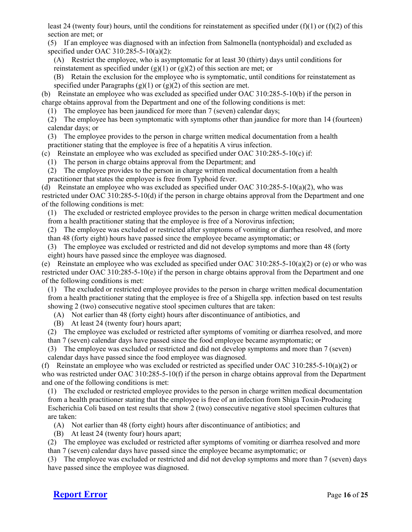least 24 (twenty four) hours, until the conditions for reinstatement as specified under (f)(1) or (f)(2) of this section are met; or

(5) If an employee was diagnosed with an infection from Salmonella (nontyphoidal) and excluded as specified under OAC 310:285-5-10(a)(2):

(A) Restrict the employee, who is asymptomatic for at least 30 (thirty) days until conditions for reinstatement as specified under  $(g)(1)$  or  $(g)(2)$  of this section are met; or

(B) Retain the exclusion for the employee who is symptomatic, until conditions for reinstatement as specified under Paragraphs  $(g)(1)$  or  $(g)(2)$  of this section are met.

(b) Reinstate an employee who was excluded as specified under OAC 310:285-5-10(b) if the person in charge obtains approval from the Department and one of the following conditions is met:

(1) The employee has been jaundiced for more than 7 (seven) calendar days;

(2) The employee has been symptomatic with symptoms other than jaundice for more than 14 (fourteen) calendar days; or

(3) The employee provides to the person in charge written medical documentation from a health practitioner stating that the employee is free of a hepatitis A virus infection.

(c) Reinstate an employee who was excluded as specified under OAC 310:285-5-10(c) if:

(1) The person in charge obtains approval from the Department; and

(2) The employee provides to the person in charge written medical documentation from a health practitioner that states the employee is free from Typhoid fever.

(d) Reinstate an employee who was excluded as specified under OAC  $310:285-5-10(a)(2)$ , who was restricted under OAC 310:285-5-10(d) if the person in charge obtains approval from the Department and one of the following conditions is met:

(1) The excluded or restricted employee provides to the person in charge written medical documentation from a health practitioner stating that the employee is free of a Norovirus infection;

(2) The employee was excluded or restricted after symptoms of vomiting or diarrhea resolved, and more than 48 (forty eight) hours have passed since the employee became asymptomatic; or

(3) The employee was excluded or restricted and did not develop symptoms and more than 48 (forty eight) hours have passed since the employee was diagnosed.

(e) Reinstate an employee who was excluded as specified under OAC 310:285-5-10(a)(2) or (e) or who was restricted under OAC 310:285-5-10(e) if the person in charge obtains approval from the Department and one of the following conditions is met:

(1) The excluded or restricted employee provides to the person in charge written medical documentation from a health practitioner stating that the employee is free of a Shigella spp. infection based on test results showing 2 (two) consecutive negative stool specimen cultures that are taken:

(A) Not earlier than 48 (forty eight) hours after discontinuance of antibiotics, and

(B) At least 24 (twenty four) hours apart;

(2) The employee was excluded or restricted after symptoms of vomiting or diarrhea resolved, and more than 7 (seven) calendar days have passed since the food employee became asymptomatic; or

(3) The employee was excluded or restricted and did not develop symptoms and more than 7 (seven) calendar days have passed since the food employee was diagnosed.

(f) Reinstate an employee who was excluded or restricted as specified under OAC 310:285-5-10(a)(2) or who was restricted under OAC 310:285-5-10(f) if the person in charge obtains approval from the Department and one of the following conditions is met:

(1) The excluded or restricted employee provides to the person in charge written medical documentation from a health practitioner stating that the employee is free of an infection from Shiga Toxin-Producing Escherichia Coli based on test results that show 2 (two) consecutive negative stool specimen cultures that are taken:

(A) Not earlier than 48 (forty eight) hours after discontinuance of antibiotics; and

(B) At least 24 (twenty four) hours apart;

(2) The employee was excluded or restricted after symptoms of vomiting or diarrhea resolved and more than 7 (seven) calendar days have passed since the employee became asymptomatic; or

(3) The employee was excluded or restricted and did not develop symptoms and more than 7 (seven) days have passed since the employee was diagnosed.

# **[Report Error](mailto:ConsumerHealth@Health.OK.Gov?&subject=subject=%20OAC:310-285.%20%20Incorrect%20Citationand/or%20Broken%20Link)** Page 16 of 25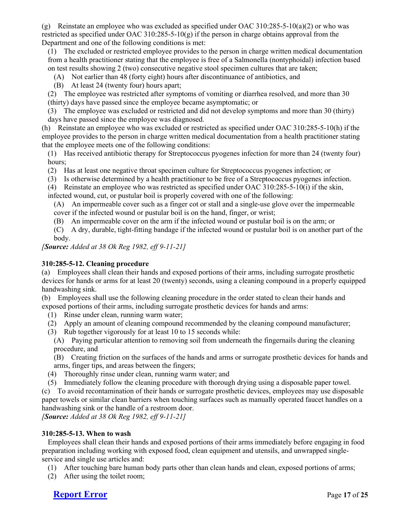(g) Reinstate an employee who was excluded as specified under OAC 310:285-5-10(a)(2) or who was restricted as specified under OAC 310:285-5-10(g) if the person in charge obtains approval from the Department and one of the following conditions is met:

(1) The excluded or restricted employee provides to the person in charge written medical documentation from a health practitioner stating that the employee is free of a Salmonella (nontyphoidal) infection based on test results showing 2 (two) consecutive negative stool specimen cultures that are taken;

- (A) Not earlier than 48 (forty eight) hours after discontinuance of antibiotics, and
- (B) At least 24 (twenty four) hours apart;

(2) The employee was restricted after symptoms of vomiting or diarrhea resolved, and more than 30 (thirty) days have passed since the employee became asymptomatic; or

(3) The employee was excluded or restricted and did not develop symptoms and more than 30 (thirty) days have passed since the employee was diagnosed.

(h) Reinstate an employee who was excluded or restricted as specified under OAC 310:285-5-10(h) if the employee provides to the person in charge written medical documentation from a health practitioner stating that the employee meets one of the following conditions:

(1) Has received antibiotic therapy for Streptococcus pyogenes infection for more than 24 (twenty four) hours;

- (2) Has at least one negative throat specimen culture for Streptococcus pyogenes infection; or
- (3) Is otherwise determined by a health practitioner to be free of a Streptococcus pyogenes infection.
- (4) Reinstate an employee who was restricted as specified under OAC 310:285-5-10(i) if the skin, infected wound, cut, or pustular boil is properly covered with one of the following:

(A) An impermeable cover such as a finger cot or stall and a single-use glove over the impermeable cover if the infected wound or pustular boil is on the hand, finger, or wrist;

- (B) An impermeable cover on the arm if the infected wound or pustular boil is on the arm; or
- (C) A dry, durable, tight-fitting bandage if the infected wound or pustular boil is on another part of the body.

*[Source: Added at 38 Ok Reg 1982, eff 9-11-21]*

### **310:285-5-12. Cleaning procedure**

(a) Employees shall clean their hands and exposed portions of their arms, including surrogate prosthetic devices for hands or arms for at least 20 (twenty) seconds, using a cleaning compound in a properly equipped handwashing sink.

(b) Employees shall use the following cleaning procedure in the order stated to clean their hands and exposed portions of their arms, including surrogate prosthetic devices for hands and arms:

- (1) Rinse under clean, running warm water;
- (2) Apply an amount of cleaning compound recommended by the cleaning compound manufacturer;
- (3) Rub together vigorously for at least 10 to 15 seconds while:
- (A) Paying particular attention to removing soil from underneath the fingernails during the cleaning procedure, and
- (B) Creating friction on the surfaces of the hands and arms or surrogate prosthetic devices for hands and arms, finger tips, and areas between the fingers;
- (4) Thoroughly rinse under clean, running warm water; and
- (5) Immediately follow the cleaning procedure with thorough drying using a disposable paper towel.

(c) To avoid recontamination of their hands or surrogate prosthetic devices, employees may use disposable paper towels or similar clean barriers when touching surfaces such as manually operated faucet handles on a handwashing sink or the handle of a restroom door.

*[Source: Added at 38 Ok Reg 1982, eff 9-11-21]*

### **310:285-5-13. When to wash**

Employees shall clean their hands and exposed portions of their arms immediately before engaging in food preparation including working with exposed food, clean equipment and utensils, and unwrapped singleservice and single use articles and:

- (1) After touching bare human body parts other than clean hands and clean, exposed portions of arms;
- (2) After using the toilet room;

# **[Report Error](mailto:ConsumerHealth@Health.OK.Gov?&subject=subject=%20OAC:310-285.%20%20Incorrect%20Citationand/or%20Broken%20Link)** Page 17 of 25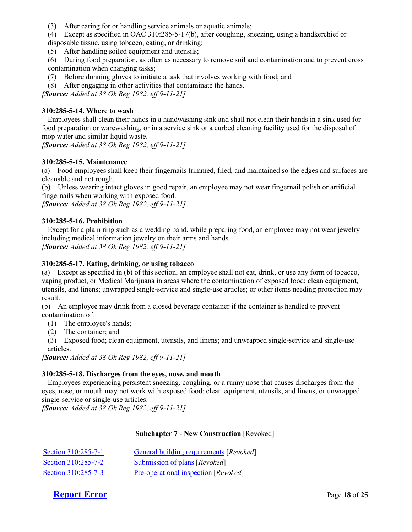- (3) After caring for or handling service animals or aquatic animals;
- (4) Except as specified in OAC 310:285-5-17(b), after coughing, sneezing, using a handkerchief or
- disposable tissue, using tobacco, eating, or drinking;
- (5) After handling soiled equipment and utensils;
- (6) During food preparation, as often as necessary to remove soil and contamination and to prevent cross contamination when changing tasks;
- (7) Before donning gloves to initiate a task that involves working with food; and
- (8) After engaging in other activities that contaminate the hands.

*[Source: Added at 38 Ok Reg 1982, eff 9-11-21]*

### **310:285-5-14. Where to wash**

Employees shall clean their hands in a handwashing sink and shall not clean their hands in a sink used for food preparation or warewashing, or in a service sink or a curbed cleaning facility used for the disposal of mop water and similar liquid waste.

*[Source: Added at 38 Ok Reg 1982, eff 9-11-21]*

### **310:285-5-15. Maintenance**

(a) Food employees shall keep their fingernails trimmed, filed, and maintained so the edges and surfaces are cleanable and not rough.

(b) Unless wearing intact gloves in good repair, an employee may not wear fingernail polish or artificial fingernails when working with exposed food.

*[Source: Added at 38 Ok Reg 1982, eff 9-11-21]*

### **310:285-5-16. Prohibition**

Except for a plain ring such as a wedding band, while preparing food, an employee may not wear jewelry including medical information jewelry on their arms and hands. *[Source: Added at 38 Ok Reg 1982, eff 9-11-21]*

### **310:285-5-17. Eating, drinking, or using tobacco**

(a) Except as specified in (b) of this section, an employee shall not eat, drink, or use any form of tobacco, vaping product, or Medical Marijuana in areas where the contamination of exposed food; clean equipment, utensils, and linens; unwrapped single-service and single-use articles; or other items needing protection may result.

(b) An employee may drink from a closed beverage container if the container is handled to prevent contamination of:

- (1) The employee's hands;
- (2) The container; and

(3) Exposed food; clean equipment, utensils, and linens; and unwrapped single-service and single-use articles.

*[Source: Added at 38 Ok Reg 1982, eff 9-11-21]*

### **310:285-5-18. Discharges from the eyes, nose, and mouth**

Employees experiencing persistent sneezing, coughing, or a runny nose that causes discharges from the eyes, nose, or mouth may not work with exposed food; clean equipment, utensils, and linens; or unwrapped single-service or single-use articles.

*[Source: Added at 38 Ok Reg 1982, eff 9-11-21]*

### **Subchapter 7 - New Construction** [Revoked]

| Section 310:285-7-1 | General building requirements [Revoked] |
|---------------------|-----------------------------------------|
| Section 310:285-7-2 | Submission of plans [Revoked]           |
| Section 310:285-7-3 | Pre-operational inspection [Revoked]    |

# **[Report Error](mailto:ConsumerHealth@Health.OK.Gov?&subject=subject=%20OAC:310-285.%20%20Incorrect%20Citationand/or%20Broken%20Link)** Page 18 of 25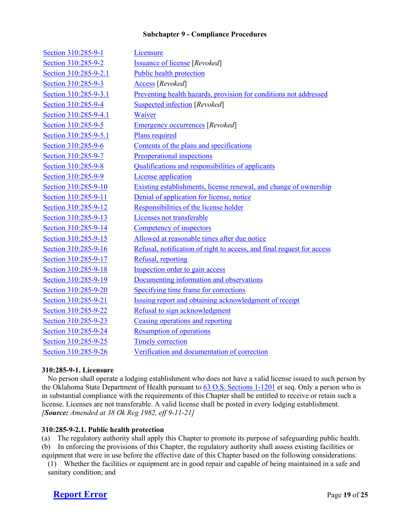### **Subchapter 9 - Compliance Procedures**

| Section 310:285-9-1   | Licensure                                                              |
|-----------------------|------------------------------------------------------------------------|
| Section 310:285-9-2   | <b>Issuance of license [Revoked]</b>                                   |
| Section 310:285-9-2.1 | Public health protection                                               |
| Section 310:285-9-3   | Access [Revoked]                                                       |
| Section 310:285-9-3.1 | Preventing health hazards, provision for conditions not addressed      |
| Section 310:285-9-4   | <b>Suspected infection</b> [Revoked]                                   |
| Section 310:285-9-4.1 | Waiver                                                                 |
| Section 310:285-9-5   | <b>Emergency occurrences</b> [Revoked]                                 |
| Section 310:285-9-5.1 | Plans required                                                         |
| Section 310:285-9-6   | Contents of the plans and specifications                               |
| Section 310:285-9-7   | Preoperational inspections                                             |
| Section 310:285-9-8   | Qualifications and responsibilities of applicants                      |
| Section 310:285-9-9   | License application                                                    |
| Section 310:285-9-10  | Existing establishments, license renewal, and change of ownership      |
| Section 310:285-9-11  | Denial of application for license, notice                              |
| Section 310:285-9-12  | Responsibilities of the license holder                                 |
| Section 310:285-9-13  | Licenses not transferable                                              |
| Section 310:285-9-14  | Competency of inspectors                                               |
| Section 310:285-9-15  | Allowed at reasonable times after due notice                           |
| Section 310:285-9-16  | Refusal, notification of right to access, and final request for access |
| Section 310:285-9-17  | Refusal, reporting                                                     |
| Section 310:285-9-18  | Inspection order to gain access                                        |
| Section 310:285-9-19  | Documenting information and observations                               |
| Section 310:285-9-20  | Specifying time frame for corrections                                  |
| Section 310:285-9-21  | Issuing report and obtaining acknowledgment of receipt                 |
| Section 310:285-9-22  | Refusal to sign acknowledgment                                         |
| Section 310:285-9-23  | Ceasing operations and reporting                                       |
| Section 310:285-9-24  | <b>Resumption of operations</b>                                        |
| Section 310:285-9-25  | <b>Timely correction</b>                                               |
| Section 310:285-9-26  | Verification and documentation of correction                           |

### **310:285-9-1. Licensure**

No person shall operate a lodging establishment who does not have a valid license issued to such person by the Oklahoma State Department of Health pursuant to [63 O.S. Sections 1-1201](https://www.oscn.net/applications/oscn/DeliverDocument.asp?CiteID=98434) et seq. Only a person who is in substantial compliance with the requirements of this Chapter shall be entitled to receive or retain such a license. Licenses are not transferable. A valid license shall be posted in every lodging establishment. *[Source: Amended at 38 Ok Reg 1982, eff 9-11-21]*

### **310:285-9-2.1. Public health protection**

(a) The regulatory authority shall apply this Chapter to promote its purpose of safeguarding public health. (b) In enforcing the provisions of this Chapter, the regulatory authority shall assess existing facilities or equipment that were in use before the effective date of this Chapter based on the following considerations:

(1) Whether the facilities or equipment are in good repair and capable of being maintained in a safe and sanitary condition; and

# **[Report Error](mailto:ConsumerHealth@Health.OK.Gov?&subject=subject=%20OAC:310-285.%20%20Incorrect%20Citationand/or%20Broken%20Link)** Page 19 of 25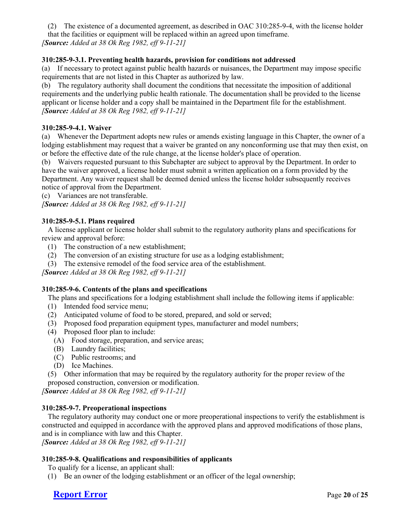(2) The existence of a documented agreement, as described in OAC 310:285-9-4, with the license holder

that the facilities or equipment will be replaced within an agreed upon timeframe.

*[Source: Added at 38 Ok Reg 1982, eff 9-11-21]*

## **310:285-9-3.1. Preventing health hazards, provision for conditions not addressed**

(a) If necessary to protect against public health hazards or nuisances, the Department may impose specific requirements that are not listed in this Chapter as authorized by law.

(b) The regulatory authority shall document the conditions that necessitate the imposition of additional requirements and the underlying public health rationale. The documentation shall be provided to the license applicant or license holder and a copy shall be maintained in the Department file for the establishment. *[Source: Added at 38 Ok Reg 1982, eff 9-11-21]*

### **310:285-9-4.1. Waiver**

(a) Whenever the Department adopts new rules or amends existing language in this Chapter, the owner of a lodging establishment may request that a waiver be granted on any nonconforming use that may then exist, on or before the effective date of the rule change, at the license holder's place of operation.

(b) Waivers requested pursuant to this Subchapter are subject to approval by the Department. In order to have the waiver approved, a license holder must submit a written application on a form provided by the Department. Any waiver request shall be deemed denied unless the license holder subsequently receives notice of approval from the Department.

(c) Variances are not transferable.

*[Source: Added at 38 Ok Reg 1982, eff 9-11-21]*

### **310:285-9-5.1. Plans required**

A license applicant or license holder shall submit to the regulatory authority plans and specifications for review and approval before:

- (1) The construction of a new establishment;
- (2) The conversion of an existing structure for use as a lodging establishment;
- (3) The extensive remodel of the food service area of the establishment.

*[Source: Added at 38 Ok Reg 1982, eff 9-11-21]*

### **310:285-9-6. Contents of the plans and specifications**

The plans and specifications for a lodging establishment shall include the following items if applicable:

- (1) Intended food service menu;
- (2) Anticipated volume of food to be stored, prepared, and sold or served;
- (3) Proposed food preparation equipment types, manufacturer and model numbers;
- (4) Proposed floor plan to include:
	- (A) Food storage, preparation, and service areas;
	- (B) Laundry facilities;
	- (C) Public restrooms; and
	- (D) Ice Machines.

(5) Other information that may be required by the regulatory authority for the proper review of the proposed construction, conversion or modification.

*[Source: Added at 38 Ok Reg 1982, eff 9-11-21]*

### **310:285-9-7. Preoperational inspections**

The regulatory authority may conduct one or more preoperational inspections to verify the establishment is constructed and equipped in accordance with the approved plans and approved modifications of those plans, and is in compliance with law and this Chapter.

*[Source: Added at 38 Ok Reg 1982, eff 9-11-21]*

### **310:285-9-8. Qualifications and responsibilities of applicants**

To qualify for a license, an applicant shall:

(1) Be an owner of the lodging establishment or an officer of the legal ownership;

# **[Report Error](mailto:ConsumerHealth@Health.OK.Gov?&subject=subject=%20OAC:310-285.%20%20Incorrect%20Citationand/or%20Broken%20Link)** Page 20 of 25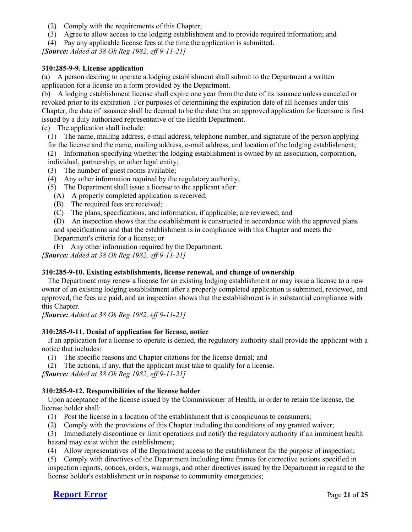- (2) Comply with the requirements of this Chapter;
- (3) Agree to allow access to the lodging establishment and to provide required information; and
- (4) Pay any applicable license fees at the time the application is submitted.

*[Source: Added at 38 Ok Reg 1982, eff 9-11-21]*

### **310:285-9-9. License application**

(a) A person desiring to operate a lodging establishment shall submit to the Department a written application for a license on a form provided by the Department.

(b) A lodging establishment license shall expire one year from the date of its issuance unless canceled or revoked prior to its expiration. For purposes of determining the expiration date of all licenses under this Chapter, the date of issuance shall be deemed to be the date that an approved application for licensure is first issued by a duly authorized representative of the Health Department.

(c) The application shall include:

(1) The name, mailing address, e-mail address, telephone number, and signature of the person applying

for the license and the name, mailing address, e-mail address, and location of the lodging establishment; (2) Information specifying whether the lodging establishment is owned by an association, corporation,

- individual, partnership, or other legal entity;
- (3) The number of guest rooms available;
- (4) Any other information required by the regulatory authority,
- (5) The Department shall issue a license to the applicant after:
	- (A) A properly completed application is received;
	- (B) The required fees are received;
	- (C) The plans, specifications, and information, if applicable, are reviewed; and

(D) An inspection shows that the establishment is constructed in accordance with the approved plans and specifications and that the establishment is in compliance with this Chapter and meets the

Department's criteria for a license; or

(E) Any other information required by the Department.

*[Source: Added at 38 Ok Reg 1982, eff 9-11-21]*

### **310:285-9-10. Existing establishments, license renewal, and change of ownership**

The Department may renew a license for an existing lodging establishment or may issue a license to a new owner of an existing lodging establishment after a properly completed application is submitted, reviewed, and approved, the fees are paid, and an inspection shows that the establishment is in substantial compliance with this Chapter.

*[Source: Added at 38 Ok Reg 1982, eff 9-11-21]*

### **310:285-9-11. Denial of application for license, notice**

If an application for a license to operate is denied, the regulatory authority shall provide the applicant with a notice that includes:

(1) The specific reasons and Chapter citations for the license denial; and

(2) The actions, if any, that the applicant must take to qualify for a license.

*[Source: Added at 38 Ok Reg 1982, eff 9-11-21]*

### **310:285-9-12. Responsibilities of the license holder**

Upon acceptance of the license issued by the Commissioner of Health, in order to retain the license, the license holder shall:

- (1) Post the license in a location of the establishment that is conspicuous to consumers;
- (2) Comply with the provisions of this Chapter including the conditions of any granted waiver;
- (3) Immediately discontinue or limit operations and notify the regulatory authority if an imminent health hazard may exist within the establishment;
- (4) Allow representatives of the Department access to the establishment for the purpose of inspection;

(5) Comply with directives of the Department including time frames for corrective actions specified in inspection reports, notices, orders, warnings, and other directives issued by the Department in regard to the license holder's establishment or in response to community emergencies;

# **[Report Error](mailto:ConsumerHealth@Health.OK.Gov?&subject=subject=%20OAC:310-285.%20%20Incorrect%20Citationand/or%20Broken%20Link)** Page 21 of 25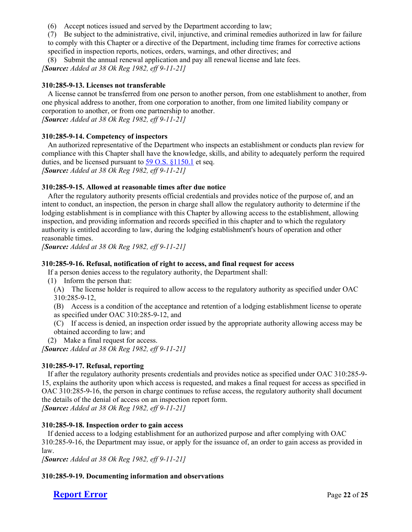(6) Accept notices issued and served by the Department according to law;

(7) Be subject to the administrative, civil, injunctive, and criminal remedies authorized in law for failure to comply with this Chapter or a directive of the Department, including time frames for corrective actions specified in inspection reports, notices, orders, warnings, and other directives; and

(8) Submit the annual renewal application and pay all renewal license and late fees.

*[Source: Added at 38 Ok Reg 1982, eff 9-11-21]*

## **310:285-9-13. Licenses not transferable**

A license cannot be transferred from one person to another person, from one establishment to another, from one physical address to another, from one corporation to another, from one limited liability company or corporation to another, or from one partnership to another. *[Source: Added at 38 Ok Reg 1982, eff 9-11-21]*

**310:285-9-14. Competency of inspectors**

An authorized representative of the Department who inspects an establishment or conducts plan review for compliance with this Chapter shall have the knowledge, skills, and ability to adequately perform the required duties, and be licensed pursuant to [59 O.S. §1150.1](https://www.oscn.net/applications/oscn/DeliverDocument.asp?CiteID=96362) et seq. *[Source: Added at 38 Ok Reg 1982, eff 9-11-21]*

### **310:285-9-15. Allowed at reasonable times after due notice**

After the regulatory authority presents official credentials and provides notice of the purpose of, and an intent to conduct, an inspection, the person in charge shall allow the regulatory authority to determine if the lodging establishment is in compliance with this Chapter by allowing access to the establishment, allowing inspection, and providing information and records specified in this chapter and to which the regulatory authority is entitled according to law, during the lodging establishment's hours of operation and other reasonable times.

*[Source: Added at 38 Ok Reg 1982, eff 9-11-21]*

## **310:285-9-16. Refusal, notification of right to access, and final request for access**

If a person denies access to the regulatory authority, the Department shall:

- (1) Inform the person that:
	- (A) The license holder is required to allow access to the regulatory authority as specified under OAC 310:285-9-12,
	- (B) Access is a condition of the acceptance and retention of a lodging establishment license to operate as specified under OAC 310:285-9-12, and
	- (C) If access is denied, an inspection order issued by the appropriate authority allowing access may be obtained according to law; and
- (2) Make a final request for access.

*[Source: Added at 38 Ok Reg 1982, eff 9-11-21]*

## **310:285-9-17. Refusal, reporting**

If after the regulatory authority presents credentials and provides notice as specified under OAC 310:285-9- 15, explains the authority upon which access is requested, and makes a final request for access as specified in OAC 310:285-9-16, the person in charge continues to refuse access, the regulatory authority shall document the details of the denial of access on an inspection report form. *[Source: Added at 38 Ok Reg 1982, eff 9-11-21]*

### **310:285-9-18. Inspection order to gain access**

If denied access to a lodging establishment for an authorized purpose and after complying with OAC 310:285-9-16, the Department may issue, or apply for the issuance of, an order to gain access as provided in law.

*[Source: Added at 38 Ok Reg 1982, eff 9-11-21]*

## **310:285-9-19. Documenting information and observations**

**[Report Error](mailto:ConsumerHealth@Health.OK.Gov?&subject=subject=%20OAC:310-285.%20%20Incorrect%20Citationand/or%20Broken%20Link)** Page 22 of 25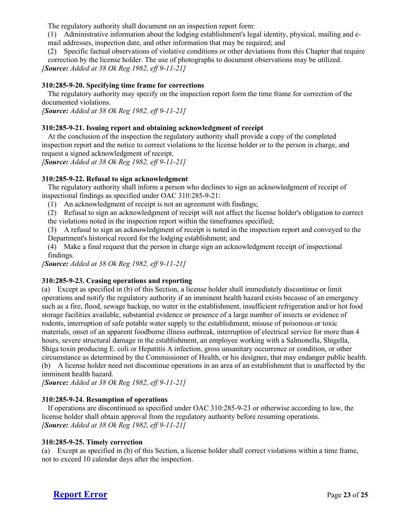The regulatory authority shall document on an inspection report form:

(1) Administrative information about the lodging establishment's legal identity, physical, mailing and e-

mail addresses, inspection date, and other information that may be required; and

(2) Specific factual observations of violative conditions or other deviations from this Chapter that require correction by the license holder. The use of photographs to document observations may be utilized. *[Source: Added at 38 Ok Reg 1982, eff 9-11-21]*

### **310:285-9-20. Specifying time frame for corrections**

The regulatory authority may specify on the inspection report form the time frame for correction of the documented violations.

*[Source: Added at 38 Ok Reg 1982, eff 9-11-21]*

## **310:285-9-21. Issuing report and obtaining acknowledgment of receipt**

At the conclusion of the inspection the regulatory authority shall provide a copy of the completed inspection report and the notice to correct violations to the license holder or to the person in charge, and request a signed acknowledgment of receipt.

*[Source: Added at 38 Ok Reg 1982, eff 9-11-21]*

### **310:285-9-22. Refusal to sign acknowledgment**

The regulatory authority shall inform a person who declines to sign an acknowledgment of receipt of inspectional findings as specified under OAC 310:285-9-21:

(1) An acknowledgment of receipt is not an agreement with findings;

(2) Refusal to sign an acknowledgment of receipt will not affect the license holder's obligation to correct

the violations noted in the inspection report within the timeframes specified;

(3) A refusal to sign an acknowledgment of receipt is noted in the inspection report and conveyed to the Department's historical record for the lodging establishment; and

(4) Make a final request that the person in charge sign an acknowledgment receipt of inspectional findings.

*[Source: Added at 38 Ok Reg 1982, eff 9-11-21]*

## **310:285-9-23. Ceasing operations and reporting**

(a) Except as specified in (b) of this Section, a license holder shall immediately discontinue or limit operations and notify the regulatory authority if an imminent health hazard exists because of an emergency such as a fire, flood, sewage backup, no water in the establishment, insufficient refrigeration and/or hot food storage facilities available, substantial evidence or presence of a large number of insects or evidence of rodents, interruption of safe potable water supply to the establishment, misuse of poisonous or toxic materials, onset of an apparent foodborne illness outbreak, interruption of electrical service for more than 4 hours, severe structural damage in the establishment, an employee working with a Salmonella, Shigella, Shiga toxin producing E. coli or Hepatitis A infection, gross unsanitary occurrence or condition, or other circumstance as determined by the Commissioner of Health, or his designee, that may endanger public health. (b) A license holder need not discontinue operations in an area of an establishment that is unaffected by the imminent health hazard.

*[Source: Added at 38 Ok Reg 1982, eff 9-11-21]*

## **310:285-9-24. Resumption of operations**

If operations are discontinued as specified under OAC 310:285-9-23 or otherwise according to law, the license holder shall obtain approval from the regulatory authority before resuming operations. *[Source: Added at 38 Ok Reg 1982, eff 9-11-21]*

### **310:285-9-25. Timely correction**

(a) Except as specified in (b) of this Section, a license holder shall correct violations within a time frame, not to exceed 10 calendar days after the inspection.

**[Report Error](mailto:ConsumerHealth@Health.OK.Gov?&subject=subject=%20OAC:310-285.%20%20Incorrect%20Citationand/or%20Broken%20Link)** Page 23 of 25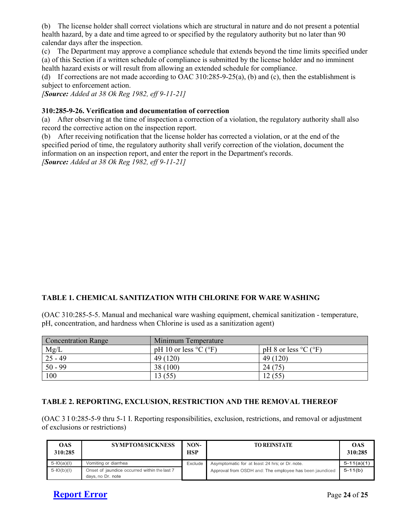(b) The license holder shall correct violations which are structural in nature and do not present a potential health hazard, by a date and time agreed to or specified by the regulatory authority but no later than 90 calendar days after the inspection.

(c) The Department may approve a compliance schedule that extends beyond the time limits specified under (a) of this Section if a written schedule of compliance is submitted by the license holder and no imminent health hazard exists or will result from allowing an extended schedule for compliance.

(d) If corrections are not made according to OAC 310:285-9-25(a), (b) and (c), then the establishment is subject to enforcement action.

*[Source: Added at 38 Ok Reg 1982, eff 9-11-21]*

### **310:285-9-26. Verification and documentation of correction**

(a) After observing at the time of inspection a correction of a violation, the regulatory authority shall also record the corrective action on the inspection report.

(b) After receiving notification that the license holder has corrected a violation, or at the end of the specified period of time, the regulatory authority shall verify correction of the violation, document the information on an inspection report, and enter the report in the Department's records. *[Source: Added at 38 Ok Reg 1982, eff 9-11-21]*

## **TABLE 1. CHEMICAL SANITIZATION WITH CHLORINE FOR WARE WASHING**

(OAC 310:285-5-5. Manual and mechanical ware washing equipment, chemical sanitization - temperature, pH, concentration, and hardness when Chlorine is used as a sanitization agent)

| <b>Concentration Range</b> | Minimum Temperature                                 |                                                    |  |
|----------------------------|-----------------------------------------------------|----------------------------------------------------|--|
| Mg/L                       | pH 10 or less $\rm{^{\circ}C}$ ( $\rm{^{\circ}F}$ ) | pH 8 or less $\rm{^{\circ}C}$ ( $\rm{^{\circ}F}$ ) |  |
| $25 - 49$                  | 49 (120)                                            | 49 (120)                                           |  |
| $50 - 99$                  | 38 (100)                                            | 24(75)                                             |  |
| 100                        | 13 (55)                                             | 12(55)                                             |  |

### **TABLE 2. REPORTING, EXCLUSION, RESTRICTION AND THE REMOVAL THEREOF**

(OAC 3 I 0:285-5-9 thru 5-1 I. Reporting responsibilities, exclusion, restrictions, and removal or adjustment of exclusions or restrictions)

| <b>OAS</b><br>310:285 | <b>SYMPTOM/SICKNESS</b>                                           | $NON-$<br><b>HSP</b> | <b>TO REINSTATE</b>                                     | <b>OAS</b><br>310:285 |
|-----------------------|-------------------------------------------------------------------|----------------------|---------------------------------------------------------|-----------------------|
| $5-10(a)(1)$          | Vomiting or diarrhea                                              | Exclude              | Asymptomatic for at least 24 hrs; or Dr. note.          | $5-11(a)(1)$          |
| $5-10(b)(1)$          | Onset of jaundice occurred within the last 7<br>days, no Dr. note |                      | Approval from OSDH and: The employee has been jaundiced | $5-11(b)$             |

# **[Report Error](mailto:ConsumerHealth@Health.OK.Gov?&subject=subject=%20OAC:310-285.%20%20Incorrect%20Citationand/or%20Broken%20Link)** Page 24 of 25